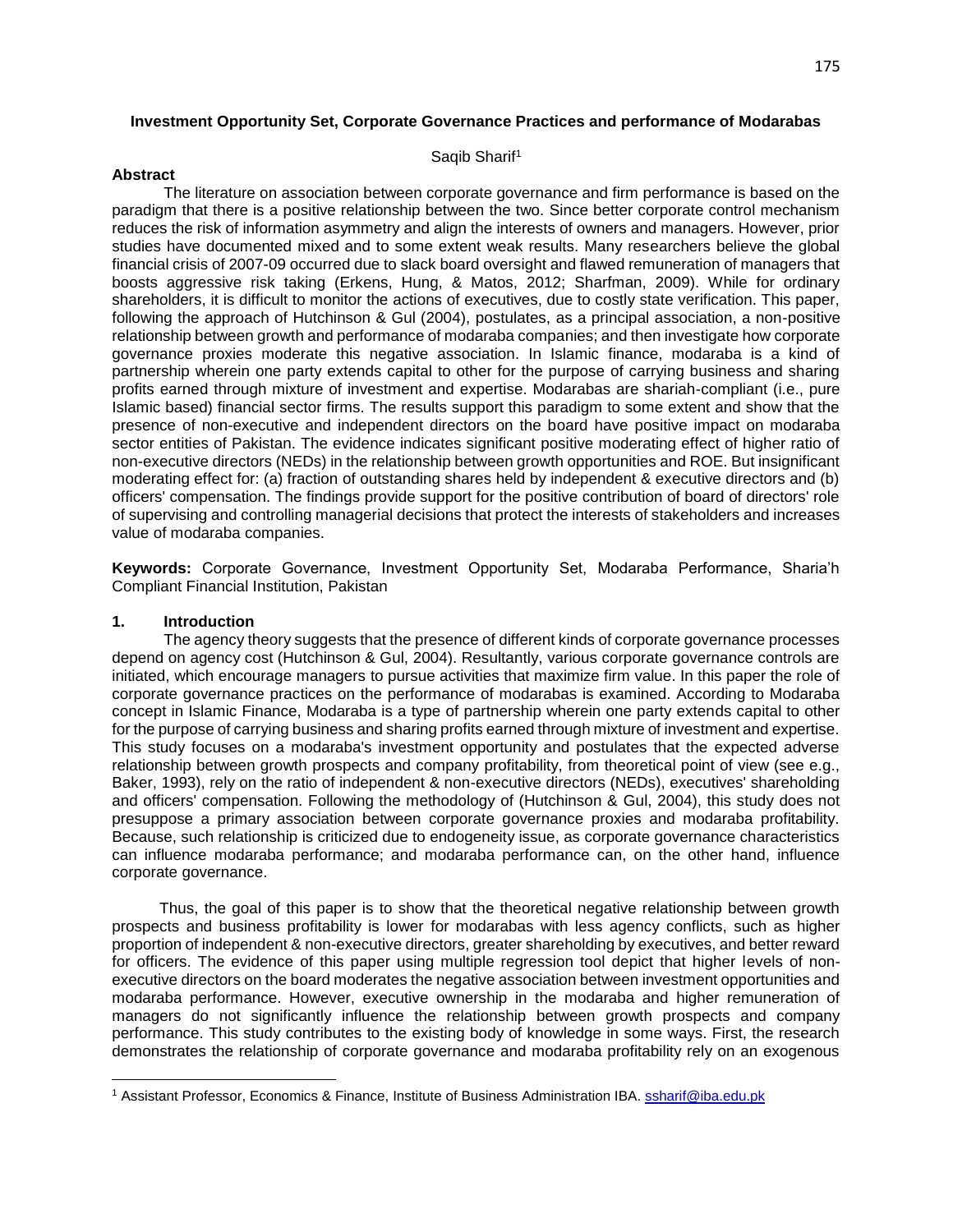## **Investment Opportunity Set, Corporate Governance Practices and performance of Modarabas**

### Saqib Sharif<sup>1</sup>

# **Abstract**

 The literature on association between corporate governance and firm performance is based on the paradigm that there is a positive relationship between the two. Since better corporate control mechanism reduces the risk of information asymmetry and align the interests of owners and managers. However, prior studies have documented mixed and to some extent weak results. Many researchers believe the global financial crisis of 2007-09 occurred due to slack board oversight and flawed remuneration of managers that boosts aggressive risk taking (Erkens, Hung, & Matos, 2012; Sharfman, 2009). While for ordinary shareholders, it is difficult to monitor the actions of executives, due to costly state verification. This paper, following the approach of Hutchinson & Gul (2004), postulates, as a principal association, a non-positive relationship between growth and performance of modaraba companies; and then investigate how corporate governance proxies moderate this negative association. In Islamic finance, modaraba is a kind of partnership wherein one party extends capital to other for the purpose of carrying business and sharing profits earned through mixture of investment and expertise. Modarabas are shariah-compliant (i.e., pure Islamic based) financial sector firms. The results support this paradigm to some extent and show that the presence of non-executive and independent directors on the board have positive impact on modaraba sector entities of Pakistan. The evidence indicates significant positive moderating effect of higher ratio of non-executive directors (NEDs) in the relationship between growth opportunities and ROE. But insignificant moderating effect for: (a) fraction of outstanding shares held by independent & executive directors and (b) officers' compensation. The findings provide support for the positive contribution of board of directors' role of supervising and controlling managerial decisions that protect the interests of stakeholders and increases value of modaraba companies.

**Keywords:** Corporate Governance, Investment Opportunity Set, Modaraba Performance, Sharia'h Compliant Financial Institution, Pakistan

# **1. Introduction**

 $\overline{\phantom{a}}$ 

 The agency theory suggests that the presence of different kinds of corporate governance processes depend on agency cost (Hutchinson & Gul, 2004). Resultantly, various corporate governance controls are initiated, which encourage managers to pursue activities that maximize firm value. In this paper the role of corporate governance practices on the performance of modarabas is examined. According to Modaraba concept in Islamic Finance, Modaraba is a type of partnership wherein one party extends capital to other for the purpose of carrying business and sharing profits earned through mixture of investment and expertise. This study focuses on a modaraba's investment opportunity and postulates that the expected adverse relationship between growth prospects and company profitability, from theoretical point of view (see e.g., Baker, 1993), rely on the ratio of independent & non-executive directors (NEDs), executives' shareholding and officers' compensation. Following the methodology of (Hutchinson & Gul, 2004), this study does not presuppose a primary association between corporate governance proxies and modaraba profitability. Because, such relationship is criticized due to endogeneity issue, as corporate governance characteristics can influence modaraba performance; and modaraba performance can, on the other hand, influence corporate governance.

 Thus, the goal of this paper is to show that the theoretical negative relationship between growth prospects and business profitability is lower for modarabas with less agency conflicts, such as higher proportion of independent & non-executive directors, greater shareholding by executives, and better reward for officers. The evidence of this paper using multiple regression tool depict that higher levels of nonexecutive directors on the board moderates the negative association between investment opportunities and modaraba performance. However, executive ownership in the modaraba and higher remuneration of managers do not significantly influence the relationship between growth prospects and company performance. This study contributes to the existing body of knowledge in some ways. First, the research demonstrates the relationship of corporate governance and modaraba profitability rely on an exogenous

<sup>1</sup> Assistant Professor, Economics & Finance, Institute of Business Administration IBA. [ssharif@iba.edu.pk](mailto:ssharif@iba.edu.pk)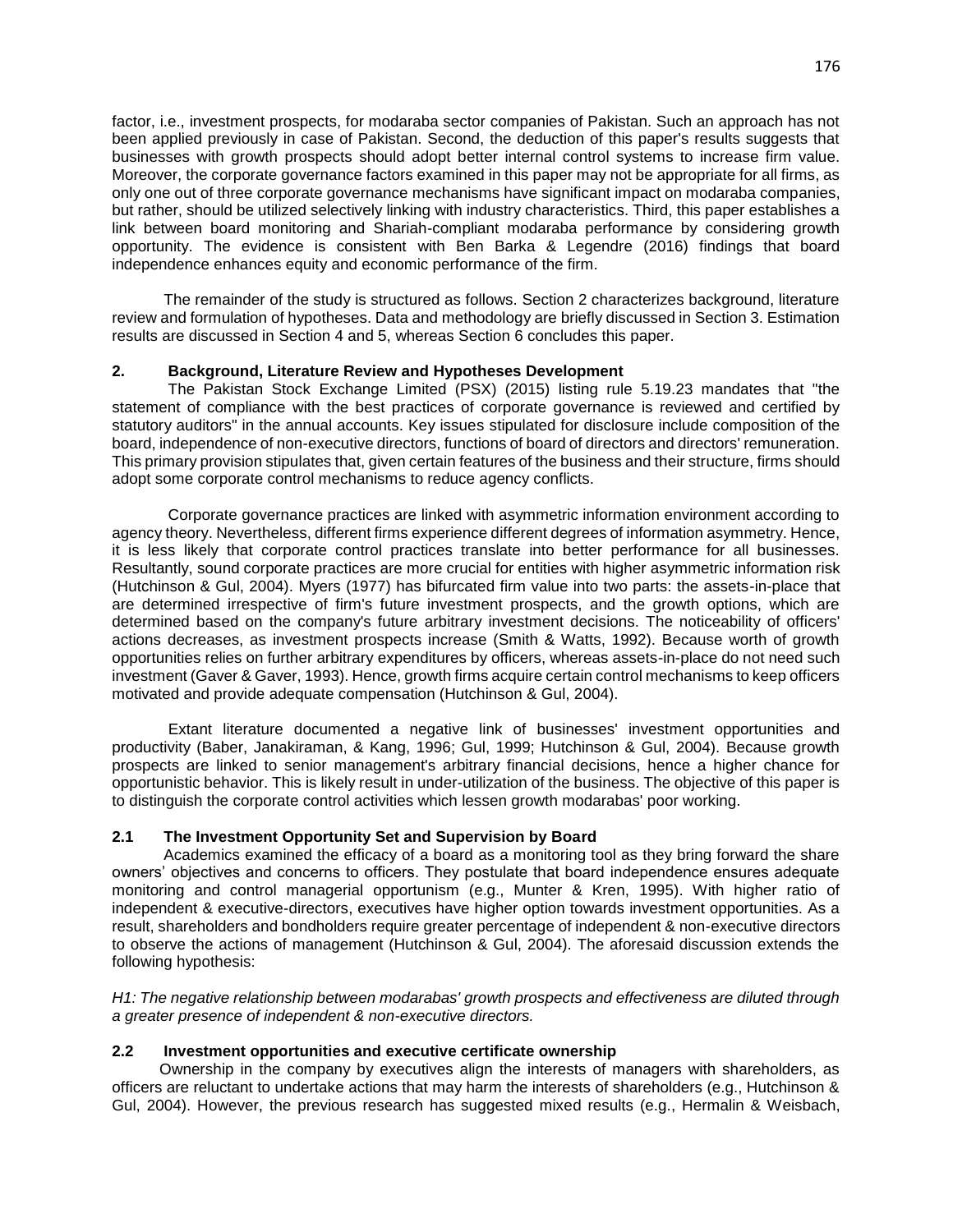factor, i.e., investment prospects, for modaraba sector companies of Pakistan. Such an approach has not been applied previously in case of Pakistan. Second, the deduction of this paper's results suggests that businesses with growth prospects should adopt better internal control systems to increase firm value. Moreover, the corporate governance factors examined in this paper may not be appropriate for all firms, as only one out of three corporate governance mechanisms have significant impact on modaraba companies, but rather, should be utilized selectively linking with industry characteristics. Third, this paper establishes a link between board monitoring and Shariah-compliant modaraba performance by considering growth opportunity. The evidence is consistent with Ben Barka & Legendre (2016) findings that board independence enhances equity and economic performance of the firm.

 The remainder of the study is structured as follows. Section 2 characterizes background, literature review and formulation of hypotheses. Data and methodology are briefly discussed in Section 3. Estimation results are discussed in Section 4 and 5, whereas Section 6 concludes this paper.

# **2. Background, Literature Review and Hypotheses Development**

 The Pakistan Stock Exchange Limited (PSX) (2015) listing rule 5.19.23 mandates that "the statement of compliance with the best practices of corporate governance is reviewed and certified by statutory auditors" in the annual accounts. Key issues stipulated for disclosure include composition of the board, independence of non-executive directors, functions of board of directors and directors' remuneration. This primary provision stipulates that, given certain features of the business and their structure, firms should adopt some corporate control mechanisms to reduce agency conflicts.

 Corporate governance practices are linked with asymmetric information environment according to agency theory. Nevertheless, different firms experience different degrees of information asymmetry. Hence, it is less likely that corporate control practices translate into better performance for all businesses. Resultantly, sound corporate practices are more crucial for entities with higher asymmetric information risk (Hutchinson & Gul, 2004). Myers (1977) has bifurcated firm value into two parts: the assets-in-place that are determined irrespective of firm's future investment prospects, and the growth options, which are determined based on the company's future arbitrary investment decisions. The noticeability of officers' actions decreases, as investment prospects increase (Smith & Watts, 1992). Because worth of growth opportunities relies on further arbitrary expenditures by officers, whereas assets-in-place do not need such investment (Gaver & Gaver, 1993). Hence, growth firms acquire certain control mechanisms to keep officers motivated and provide adequate compensation (Hutchinson & Gul, 2004).

 Extant literature documented a negative link of businesses' investment opportunities and productivity (Baber, Janakiraman, & Kang, 1996; Gul, 1999; Hutchinson & Gul, 2004). Because growth prospects are linked to senior management's arbitrary financial decisions, hence a higher chance for opportunistic behavior. This is likely result in under-utilization of the business. The objective of this paper is to distinguish the corporate control activities which lessen growth modarabas' poor working.

# **2.1 The Investment Opportunity Set and Supervision by Board**

 Academics examined the efficacy of a board as a monitoring tool as they bring forward the share owners' objectives and concerns to officers. They postulate that board independence ensures adequate monitoring and control managerial opportunism (e.g., Munter & Kren, 1995). With higher ratio of independent & executive-directors, executives have higher option towards investment opportunities. As a result, shareholders and bondholders require greater percentage of independent & non-executive directors to observe the actions of management (Hutchinson & Gul, 2004). The aforesaid discussion extends the following hypothesis:

*H1: The negative relationship between modarabas' growth prospects and effectiveness are diluted through a greater presence of independent & non-executive directors.* 

# **2.2 Investment opportunities and executive certificate ownership**

 Ownership in the company by executives align the interests of managers with shareholders, as officers are reluctant to undertake actions that may harm the interests of shareholders (e.g., Hutchinson & Gul, 2004). However, the previous research has suggested mixed results (e.g., Hermalin & Weisbach,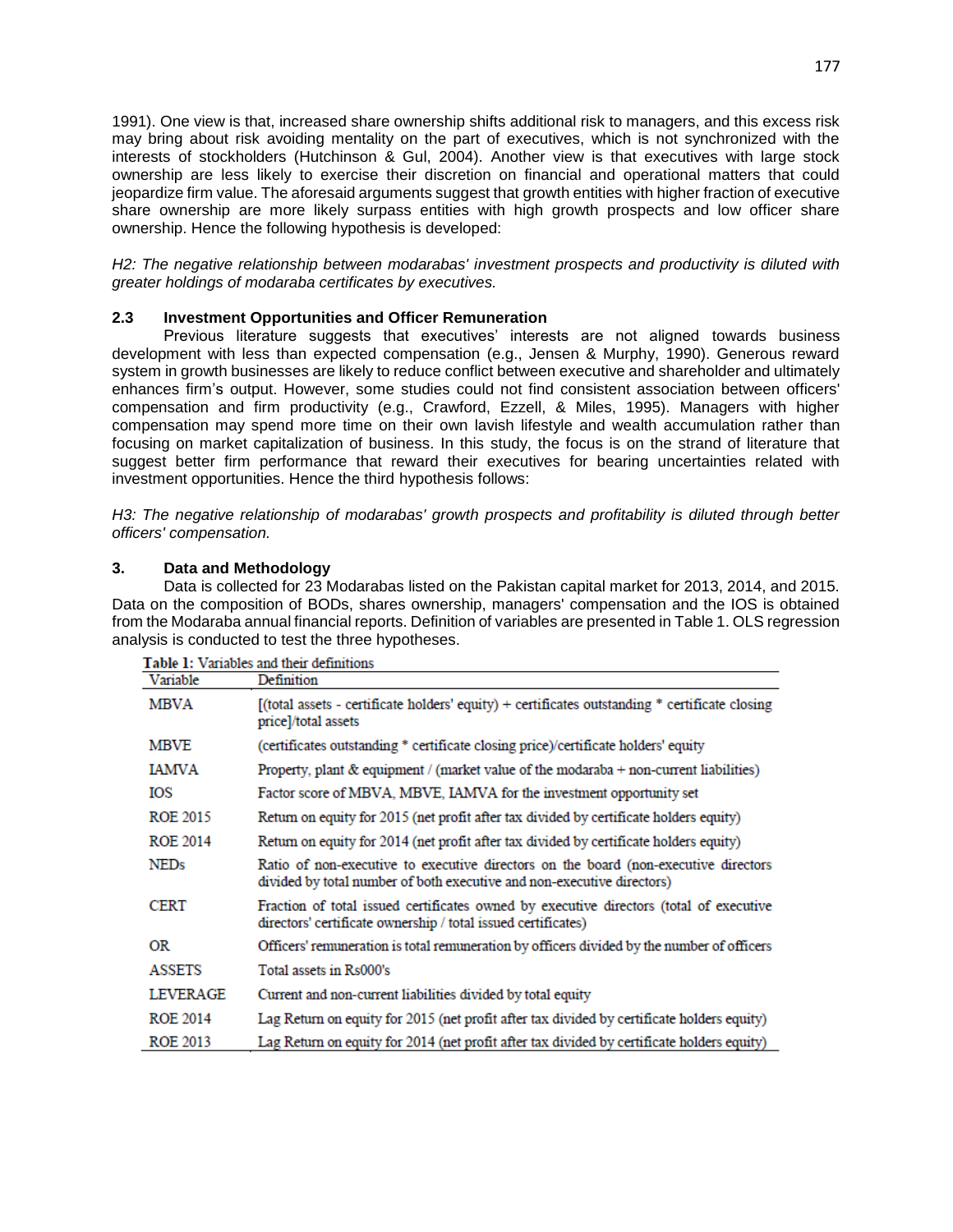1991). One view is that, increased share ownership shifts additional risk to managers, and this excess risk may bring about risk avoiding mentality on the part of executives, which is not synchronized with the interests of stockholders (Hutchinson & Gul, 2004). Another view is that executives with large stock ownership are less likely to exercise their discretion on financial and operational matters that could jeopardize firm value. The aforesaid arguments suggest that growth entities with higher fraction of executive share ownership are more likely surpass entities with high growth prospects and low officer share ownership. Hence the following hypothesis is developed:

*H2: The negative relationship between modarabas' investment prospects and productivity is diluted with greater holdings of modaraba certificates by executives.* 

# **2.3 Investment Opportunities and Officer Remuneration**

and the second

 Previous literature suggests that executives' interests are not aligned towards business development with less than expected compensation (e.g., Jensen & Murphy, 1990). Generous reward system in growth businesses are likely to reduce conflict between executive and shareholder and ultimately enhances firm's output. However, some studies could not find consistent association between officers' compensation and firm productivity (e.g., Crawford, Ezzell, & Miles, 1995). Managers with higher compensation may spend more time on their own lavish lifestyle and wealth accumulation rather than focusing on market capitalization of business. In this study, the focus is on the strand of literature that suggest better firm performance that reward their executives for bearing uncertainties related with investment opportunities. Hence the third hypothesis follows:

*H3: The negative relationship of modarabas' growth prospects and profitability is diluted through better officers' compensation.* 

# **3. Data and Methodology**

 Data is collected for 23 Modarabas listed on the Pakistan capital market for 2013, 2014, and 2015. Data on the composition of BODs, shares ownership, managers' compensation and the IOS is obtained from the Modaraba annual financial reports. Definition of variables are presented in Table 1. OLS regression analysis is conducted to test the three hypotheses.

| Variable        | Definition                                                                                                                                                    |
|-----------------|---------------------------------------------------------------------------------------------------------------------------------------------------------------|
| MBVA            | (total assets - certificate holders' equity) + certificates outstanding * certificate closing<br>price]/total assets                                          |
| <b>MBVE</b>     | (certificates outstanding * certificate closing price)/certificate holders' equity                                                                            |
| IAMVA           | Property, plant $\&$ equipment / (market value of the modaraba + non-current liabilities)                                                                     |
| IOS             | Factor score of MBVA, MBVE, IAMVA for the investment opportunity set                                                                                          |
| ROE 2015        | Return on equity for 2015 (net profit after tax divided by certificate holders equity)                                                                        |
| <b>ROE 2014</b> | Return on equity for 2014 (net profit after tax divided by certificate holders equity)                                                                        |
| <b>NEDs</b>     | Ratio of non-executive to executive directors on the board (non-executive directors<br>divided by total number of both executive and non-executive directors) |
| <b>CERT</b>     | Fraction of total issued certificates owned by executive directors (total of executive<br>directors' certificate ownership / total issued certificates)       |
| OR              | Officers' remuneration is total remuneration by officers divided by the number of officers                                                                    |
| <b>ASSETS</b>   | Total assets in Rs000's                                                                                                                                       |
| <b>LEVERAGE</b> | Current and non-current liabilities divided by total equity                                                                                                   |
| <b>ROE 2014</b> | Lag Return on equity for 2015 (net profit after tax divided by certificate holders equity)                                                                    |
| <b>ROE 2013</b> | Lag Return on equity for 2014 (net profit after tax divided by certificate holders equity)                                                                    |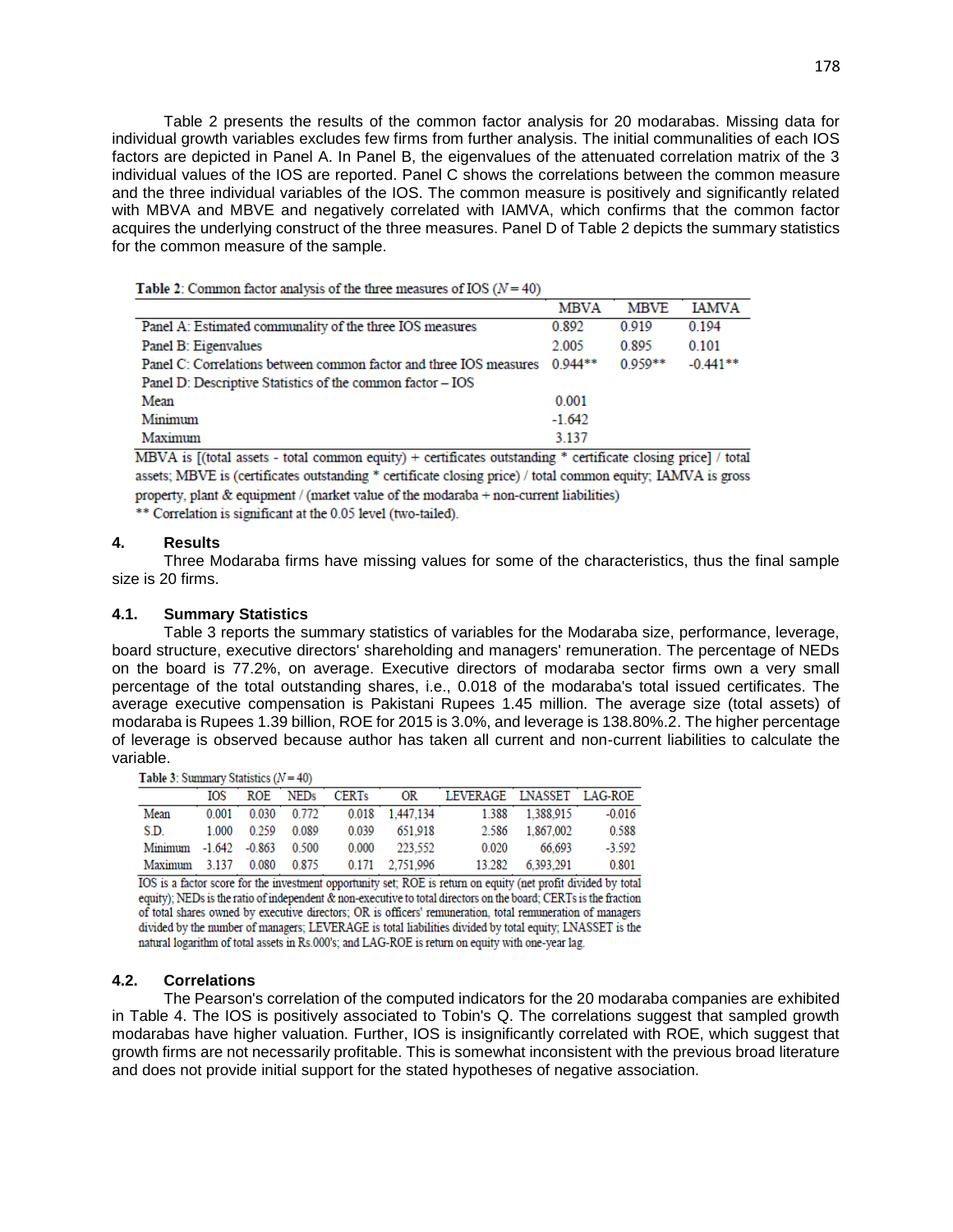Table 2 presents the results of the common factor analysis for 20 modarabas. Missing data for individual growth variables excludes few firms from further analysis. The initial communalities of each IOS factors are depicted in Panel A. In Panel B, the eigenvalues of the attenuated correlation matrix of the 3 individual values of the IOS are reported. Panel C shows the correlations between the common measure and the three individual variables of the IOS. The common measure is positively and significantly related with MBVA and MBVE and negatively correlated with IAMVA, which confirms that the common factor acquires the underlying construct of the three measures. Panel D of Table 2 depicts the summary statistics for the common measure of the sample.

|                                                                    | <b>MBVA</b> | <b>MBVE</b> | <b>IAMVA</b> |
|--------------------------------------------------------------------|-------------|-------------|--------------|
| Panel A: Estimated communality of the three IOS measures           | 0.892       | 0 9 1 9     | 0.194        |
| Panel B: Eigenvalues                                               | 2.005       | 0.895       | 0.101        |
| Panel C: Correlations between common factor and three IOS measures | $0.944**$   | $0.959**$   | $-0.441**$   |
| Panel D: Descriptive Statistics of the common factor - IOS         |             |             |              |
| Mean                                                               | 0.001       |             |              |
| Minimum                                                            | $-1.642$    |             |              |
| Maximum                                                            | 3.137       |             |              |

Table 2: Common factor analysis of the three measures of IOS  $(N = 40)$ 

MBVA is [(total assets - total common equity) + certificates outstanding \* certificate closing price] / total assets; MBVE is (certificates outstanding \* certificate closing price) / total common equity; IAMVA is gross property, plant & equipment / (market value of the modaraba + non-current liabilities) \*\* Correlation is significant at the 0.05 level (two-tailed).

# **4. Results**

 Three Modaraba firms have missing values for some of the characteristics, thus the final sample size is 20 firms.

### **4.1. Summary Statistics**

 Table 3 reports the summary statistics of variables for the Modaraba size, performance, leverage, board structure, executive directors' shareholding and managers' remuneration. The percentage of NEDs on the board is 77.2%, on average. Executive directors of modaraba sector firms own a very small percentage of the total outstanding shares, i.e., 0.018 of the modaraba's total issued certificates. The average executive compensation is Pakistani Rupees 1.45 million. The average size (total assets) of modaraba is Rupees 1.39 billion, ROE for 2015 is 3.0%, and leverage is 138.80%.2. The higher percentage of leverage is observed because author has taken all current and non-current liabilities to calculate the variable.

Table 3: Summary Statistics  $(N = 40)$ 

|                             | IOS |             | ROE NEDs          | <b>CERTs</b> | OR              | LEVERAGE LNASSET LAG-ROE |                 |          |
|-----------------------------|-----|-------------|-------------------|--------------|-----------------|--------------------------|-----------------|----------|
| Mean                        |     |             | 0.001 0.030 0.772 |              | 0.018 1.447.134 |                          | 1.388 1.388.915 | $-0.016$ |
| S.D.                        |     | 1.000 0.259 | 0.089             | 0.039        | 651.918         | 2.586                    | 1.867.002       | 0.588    |
| Minimum -1.642 -0.863 0.500 |     |             |                   | 0.000        | 223 552         | 0.020                    | 66.693          | $-3.592$ |
| Maximum 3.137 0.080 0.875   |     |             |                   |              | 0.171 2.751.996 | 13.282                   | 6.393.291       | 0.801    |

IOS is a factor score for the investment opportunity set; ROE is return on equity (net profit divided by total equity); NEDs is the ratio of independent & non-executive to total directors on the board; CERTs is the fraction of total shares owned by executive directors; OR is officers' remuneration, total remuneration of managers divided by the number of managers; LEVERAGE is total liabilities divided by total equity; LNASSET is the natural logarithm of total assets in Rs.000's; and LAG-ROE is return on equity with one-year lag.

## **4.2. Correlations**

 The Pearson's correlation of the computed indicators for the 20 modaraba companies are exhibited in Table 4. The IOS is positively associated to Tobin's Q. The correlations suggest that sampled growth modarabas have higher valuation. Further, IOS is insignificantly correlated with ROE, which suggest that growth firms are not necessarily profitable. This is somewhat inconsistent with the previous broad literature and does not provide initial support for the stated hypotheses of negative association.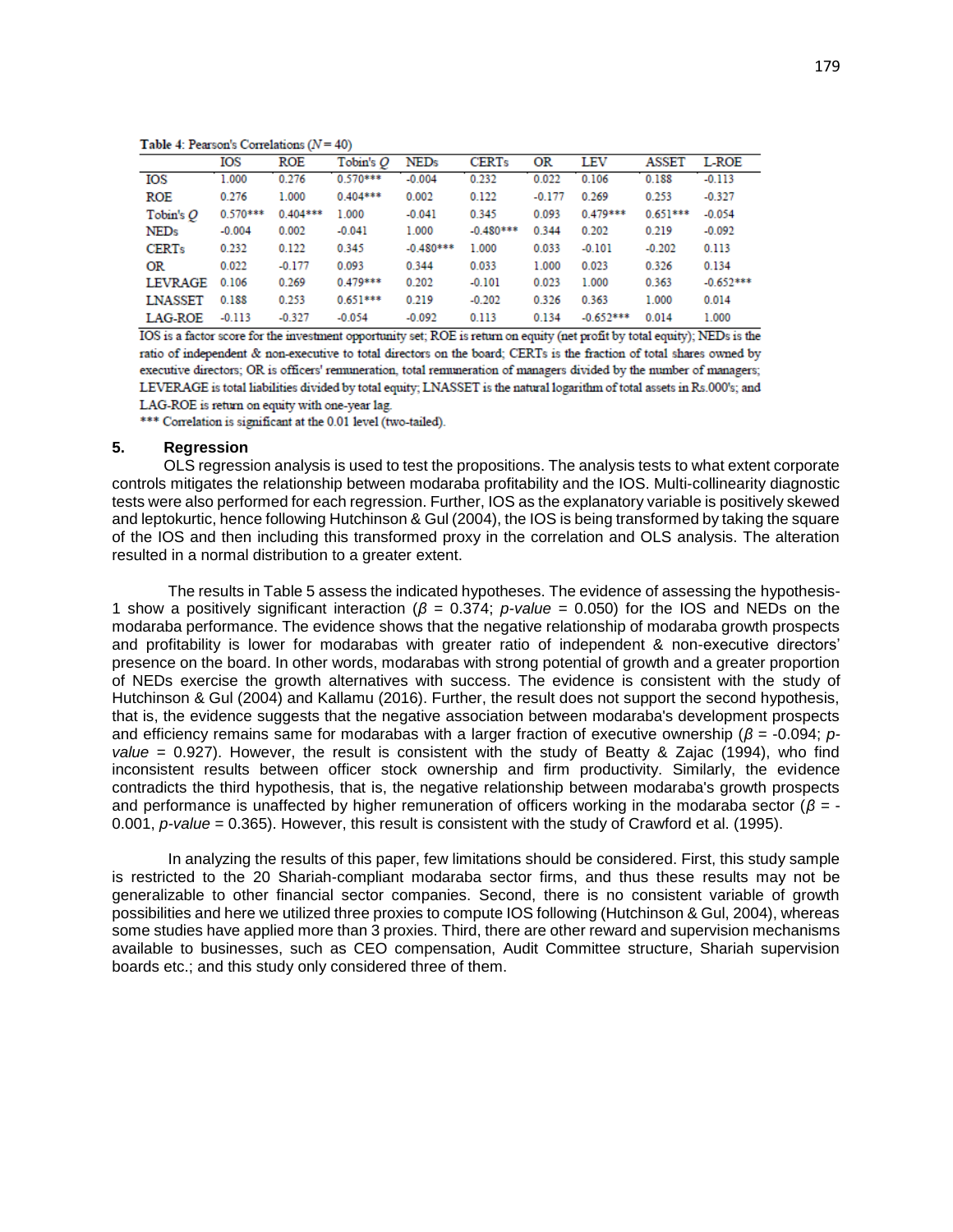179

Table 4: Pearson's Correlations  $(N = 40)$ 

| THEN'S T. T. CHRONICS CONTRACTORS IT |            |            |             |             |              |          |             |              |             |
|--------------------------------------|------------|------------|-------------|-------------|--------------|----------|-------------|--------------|-------------|
|                                      | IOS        | ROE        | Tobin's $O$ | <b>NEDs</b> | <b>CERTs</b> | OR       | LEV         | <b>ASSET</b> | L-ROE       |
| IOS                                  | 1.000      | 0.276      | $0.570***$  | $-0.004$    | 0.232        | 0.022    | 0.106       | 0.188        | $-0.113$    |
| <b>ROE</b>                           | 0.276      | 1.000      | $0.404***$  | 0.002       | 0.122        | $-0.177$ | 0.269       | 0.253        | $-0.327$    |
| Tobin's O                            | $0.570***$ | $0.404***$ | 1.000       | $-0.041$    | 0.345        | 0.093    | 0.479***    | $0.651***$   | $-0.054$    |
| <b>NEDs</b>                          | $-0.004$   | 0.002      | $-0.041$    | 1.000       | $-0.480***$  | 0.344    | 0.202       | 0.219        | $-0.092$    |
| <b>CERTs</b>                         | 0.232      | 0.122      | 0.345       | $-0.480***$ | 1.000        | 0.033    | $-0.101$    | $-0.202$     | 0.113       |
| OR                                   | 0.022      | $-0.177$   | 0.093       | 0.344       | 0.033        | 1.000    | 0.023       | 0.326        | 0.134       |
| <b>LEVRAGE</b>                       | 0.106      | 0.269      | 0.479***    | 0.202       | $-0.101$     | 0.023    | 1.000       | 0.363        | $-0.652***$ |
| <b>LNASSET</b>                       | 0.188      | 0.253      | $0.651***$  | 0.219       | $-0.202$     | 0.326    | 0.363       | 1.000        | 0.014       |
| <b>LAG-ROE</b>                       | $-0.113$   | $-0.327$   | $-0.054$    | $-0.092$    | 0.113        | 0.134    | $-0.652***$ | 0.014        | 1.000       |

IOS is a factor score for the investment opportunity set; ROE is return on equity (net profit by total equity); NEDs is the ratio of independent & non-executive to total directors on the board; CERTs is the fraction of total shares owned by executive directors; OR is officers' remuneration, total remuneration of managers divided by the number of managers; LEVERAGE is total liabilities divided by total equity; LNASSET is the natural logarithm of total assets in Rs.000's; and LAG-ROE is return on equity with one-year lag.

\*\*\* Correlation is significant at the 0.01 level (two-tailed).

#### **5. Regression**

 OLS regression analysis is used to test the propositions. The analysis tests to what extent corporate controls mitigates the relationship between modaraba profitability and the IOS. Multi-collinearity diagnostic tests were also performed for each regression. Further, IOS as the explanatory variable is positively skewed and leptokurtic, hence following Hutchinson & Gul (2004), the IOS is being transformed by taking the square of the IOS and then including this transformed proxy in the correlation and OLS analysis. The alteration resulted in a normal distribution to a greater extent.

 The results in Table 5 assess the indicated hypotheses. The evidence of assessing the hypothesis-1 show a positively significant interaction (*β* = 0.374; *p-value* = 0.050) for the IOS and NEDs on the modaraba performance. The evidence shows that the negative relationship of modaraba growth prospects and profitability is lower for modarabas with greater ratio of independent & non-executive directors' presence on the board. In other words, modarabas with strong potential of growth and a greater proportion of NEDs exercise the growth alternatives with success. The evidence is consistent with the study of Hutchinson & Gul (2004) and Kallamu (2016). Further, the result does not support the second hypothesis, that is, the evidence suggests that the negative association between modaraba's development prospects and efficiency remains same for modarabas with a larger fraction of executive ownership (*β* = -0.094; *pvalue* = 0.927). However, the result is consistent with the study of Beatty & Zajac (1994), who find inconsistent results between officer stock ownership and firm productivity. Similarly, the evidence contradicts the third hypothesis, that is, the negative relationship between modaraba's growth prospects and performance is unaffected by higher remuneration of officers working in the modaraba sector (*β* = - 0.001, *p-value* = 0.365). However, this result is consistent with the study of Crawford et al. (1995).

 In analyzing the results of this paper, few limitations should be considered. First, this study sample is restricted to the 20 Shariah-compliant modaraba sector firms, and thus these results may not be generalizable to other financial sector companies. Second, there is no consistent variable of growth possibilities and here we utilized three proxies to compute IOS following (Hutchinson & Gul, 2004), whereas some studies have applied more than 3 proxies. Third, there are other reward and supervision mechanisms available to businesses, such as CEO compensation, Audit Committee structure, Shariah supervision boards etc.; and this study only considered three of them.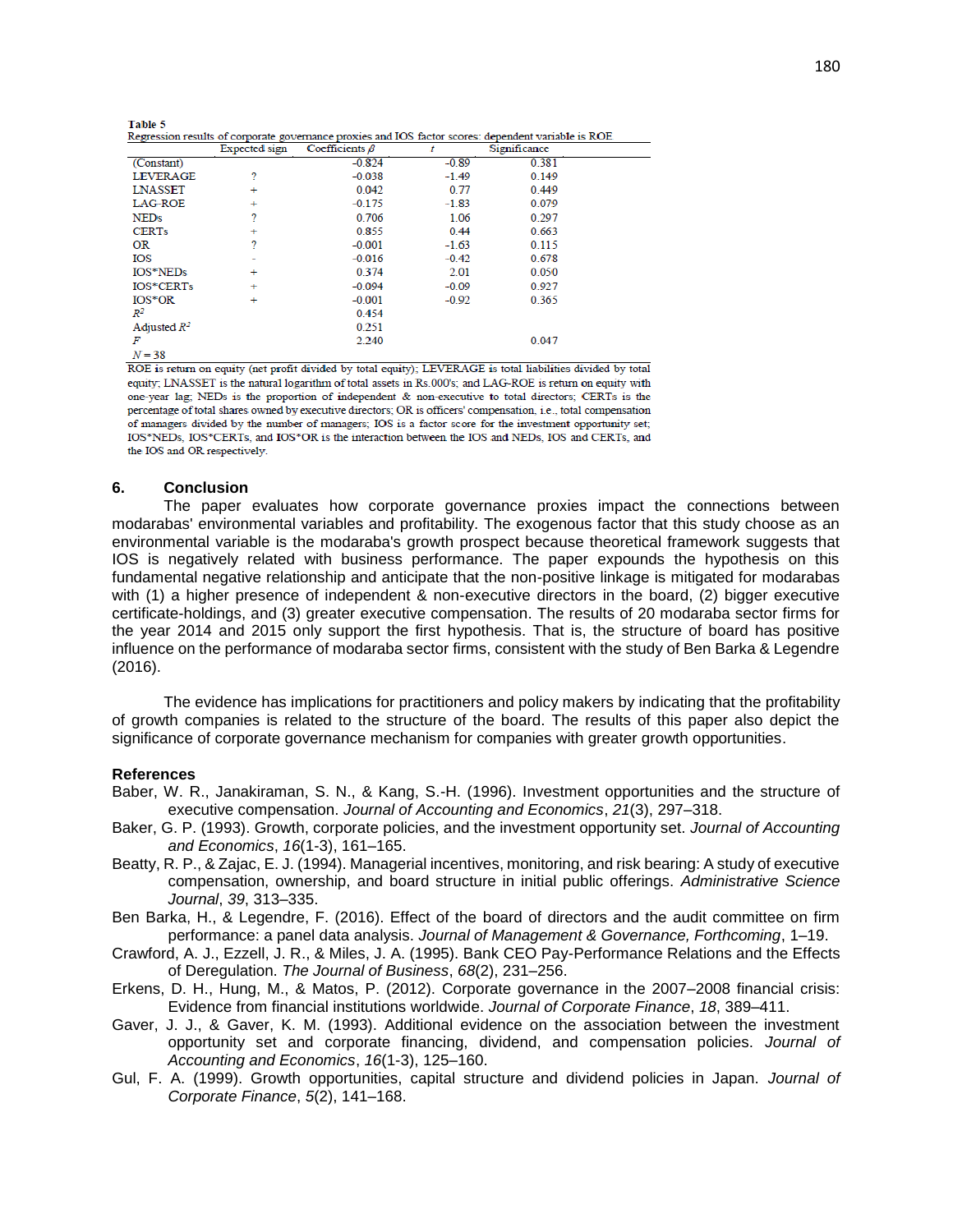| Regression results of corporate governance proxies and IOS factor scores: dependent variable is ROE |  |  |  |  |  |  |  |
|-----------------------------------------------------------------------------------------------------|--|--|--|--|--|--|--|
|                                                                                                     |  |  |  |  |  |  |  |

|                 | Expected sign | Coefficients $\beta$ |         | Significance |  |
|-----------------|---------------|----------------------|---------|--------------|--|
| (Constant)      |               | $-0.824$             | $-0.89$ | 0.381        |  |
| <b>LEVERAGE</b> | ?             | $-0.038$             | $-1.49$ | 0.149        |  |
| <b>LNASSET</b>  | ÷             | 0.042                | 0.77    | 0.449        |  |
| <b>LAG-ROE</b>  | ÷             | $-0.175$             | $-1.83$ | 0.079        |  |
| <b>NEDs</b>     | ?             | 0.706                | 1.06    | 0.297        |  |
| <b>CERTs</b>    | ÷             | 0.855                | 0.44    | 0.663        |  |
| <b>OR</b>       | ?             | $-0.001$             | $-1.63$ | 0.115        |  |
| IOS             | -             | $-0.016$             | $-0.42$ | 0.678        |  |
| IOS*NEDs        | ÷             | 0.374                | 2.01    | 0.050        |  |
| IOS*CERTs       | ÷             | $-0.094$             | $-0.09$ | 0.927        |  |
| $IOS*OR$        | $\ddot{}$     | $-0.001$             | $-0.92$ | 0.365        |  |
| $\mathbb{R}^2$  |               | 0.454                |         |              |  |
| Adjusted $R^2$  |               | 0.251                |         |              |  |
| F               |               | 2.240                |         | 0.047        |  |
| $N = 38$        |               |                      |         |              |  |

ROE is return on equity (net profit divided by total equity); LEVERAGE is total liabilities divided by total equity; LNASSET is the natural logarithm of total assets in Rs.000's; and LAG-ROE is return on equity with one-year lag; NEDs is the proportion of independent & non-executive to total directors; CERTs is the percentage of total shares owned by executive directors; OR is officers' compensation, i.e., total compensation of managers divided by the number of managers; IOS is a factor score for the investment opportunity set; IOS\*NEDs, IOS\*CERTs, and IOS\*OR is the interaction between the IOS and NEDs, IOS and CERTs, and the IOS and OR respectively.

#### **6. Conclusion**

 The paper evaluates how corporate governance proxies impact the connections between modarabas' environmental variables and profitability. The exogenous factor that this study choose as an environmental variable is the modaraba's growth prospect because theoretical framework suggests that IOS is negatively related with business performance. The paper expounds the hypothesis on this fundamental negative relationship and anticipate that the non-positive linkage is mitigated for modarabas with (1) a higher presence of independent & non-executive directors in the board, (2) bigger executive certificate-holdings, and (3) greater executive compensation. The results of 20 modaraba sector firms for the year 2014 and 2015 only support the first hypothesis. That is, the structure of board has positive influence on the performance of modaraba sector firms, consistent with the study of Ben Barka & Legendre (2016).

 The evidence has implications for practitioners and policy makers by indicating that the profitability of growth companies is related to the structure of the board. The results of this paper also depict the significance of corporate governance mechanism for companies with greater growth opportunities.

# **References**

- Baber, W. R., Janakiraman, S. N., & Kang, S.-H. (1996). Investment opportunities and the structure of executive compensation. *Journal of Accounting and Economics*, *21*(3), 297–318.
- Baker, G. P. (1993). Growth, corporate policies, and the investment opportunity set. *Journal of Accounting and Economics*, *16*(1-3), 161–165.
- Beatty, R. P., & Zajac, E. J. (1994). Managerial incentives, monitoring, and risk bearing: A study of executive compensation, ownership, and board structure in initial public offerings. *Administrative Science Journal*, *39*, 313–335.
- Ben Barka, H., & Legendre, F. (2016). Effect of the board of directors and the audit committee on firm performance: a panel data analysis. *Journal of Management & Governance, Forthcoming*, 1–19.
- Crawford, A. J., Ezzell, J. R., & Miles, J. A. (1995). Bank CEO Pay-Performance Relations and the Effects of Deregulation. *The Journal of Business*, *68*(2), 231–256.
- Erkens, D. H., Hung, M., & Matos, P. (2012). Corporate governance in the 2007–2008 financial crisis: Evidence from financial institutions worldwide. *Journal of Corporate Finance*, *18*, 389–411.
- Gaver, J. J., & Gaver, K. M. (1993). Additional evidence on the association between the investment opportunity set and corporate financing, dividend, and compensation policies. *Journal of Accounting and Economics*, *16*(1-3), 125–160.
- Gul, F. A. (1999). Growth opportunities, capital structure and dividend policies in Japan. *Journal of Corporate Finance*, *5*(2), 141–168.